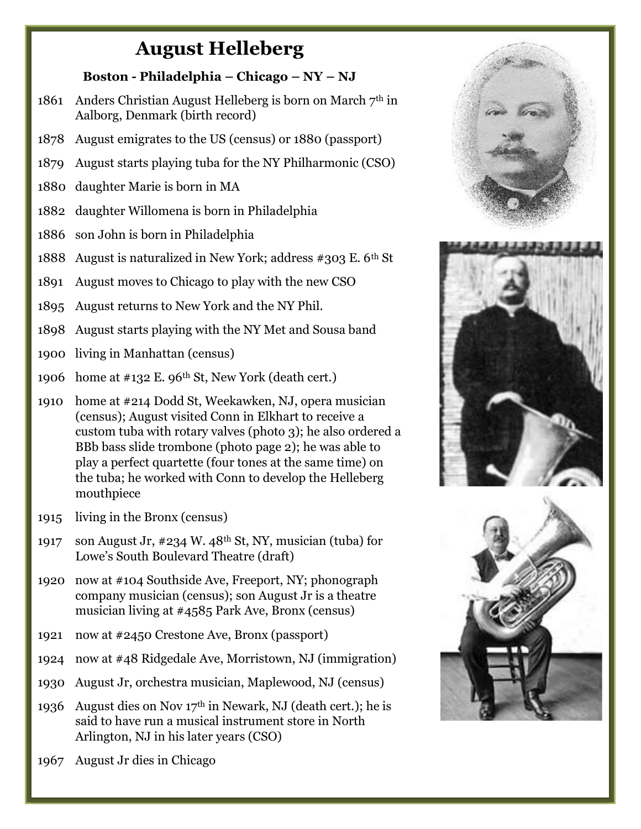## August Helleberg

## Boston - Philadelphia – Chicago – NY – NJ

- 1861 Anders Christian August Helleberg is born on March  $7<sup>th</sup>$  in Aalborg, Denmark (birth record)
- 1878 August emigrates to the US (census) or 1880 (passport)
- 1879 August starts playing tuba for the NY Philharmonic (CSO)
- 1880 daughter Marie is born in MA
- 1882 daughter Willomena is born in Philadelphia
- 1886 son John is born in Philadelphia
- 1888 August is naturalized in New York; address #303 E. 6th St
- 1891 August moves to Chicago to play with the new CSO
- 1895 August returns to New York and the NY Phil.
- 1898 August starts playing with the NY Met and Sousa band
- 1900 living in Manhattan (census)
- 1906 home at  $\#132$  E. 96<sup>th</sup> St, New York (death cert.)
- 1910 home at #214 Dodd St, Weekawken, NJ, opera musician (census); August visited Conn in Elkhart to receive a custom tuba with rotary valves (photo 3); he also ordered a BBb bass slide trombone (photo page 2); he was able to play a perfect quartette (four tones at the same time) on the tuba; he worked with Conn to develop the Helleberg mouthpiece
- 1915 living in the Bronx (census)
- 1917 son August Jr,  $\#234$  W.  $48<sup>th</sup>$  St, NY, musician (tuba) for Lowe's South Boulevard Theatre (draft)
- 1920 now at #104 Southside Ave, Freeport, NY; phonograph company musician (census); son August Jr is a theatre musician living at #4585 Park Ave, Bronx (census)
- 1921 now at #2450 Crestone Ave, Bronx (passport)
- 1924 now at #48 Ridgedale Ave, Morristown, NJ (immigration)
- 1930 August Jr, orchestra musician, Maplewood, NJ (census)
- 1936 August dies on Nov  $17<sup>th</sup>$  in Newark, NJ (death cert.); he is said to have run a musical instrument store in North Arlington, NJ in his later years (CSO)
- 1967 August Jr dies in Chicago